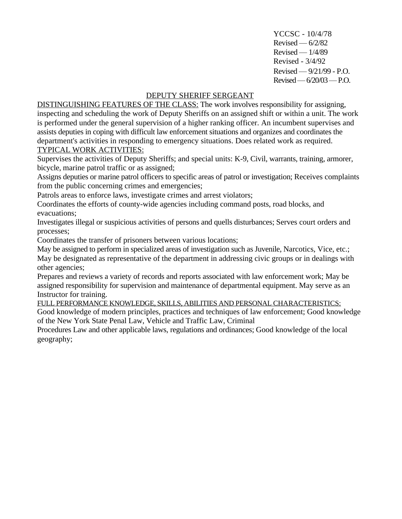YCCSC - 10/4/78  $Revised - 6/2/82$  $Revised - 1/4/89$ Revised - 3/4/92 Revised — 9/21/99 - P.O. Revised—6/20/03—P.O.

## DEPUTY SHERIFF SERGEANT

DISTINGUISHING FEATURES OF THE CLASS: The work involves responsibility for assigning, inspecting and scheduling the work of Deputy Sheriffs on an assigned shift or within a unit. The work is performed under the general supervision of a higher ranking officer. An incumbent supervises and assists deputies in coping with difficult law enforcement situations and organizes and coordinates the department's activities in responding to emergency situations. Does related work as required. TYPICAL WORK ACTIVITIES:

Supervises the activities of Deputy Sheriffs; and special units: K-9, Civil, warrants, training, armorer, bicycle, marine patrol traffic or as assigned;

Assigns deputies or marine patrol officers to specific areas of patrol or investigation; Receives complaints from the public concerning crimes and emergencies;

Patrols areas to enforce laws, investigate crimes and arrest violators;

Coordinates the efforts of county-wide agencies including command posts, road blocks, and evacuations;

Investigates illegal or suspicious activities of persons and quells disturbances; Serves court orders and processes;

Coordinates the transfer of prisoners between various locations;

May be assigned to perform in specialized areas of investigation such as Juvenile, Narcotics, Vice, etc.; May be designated as representative of the department in addressing civic groups or in dealings with other agencies;

Prepares and reviews a variety of records and reports associated with law enforcement work; May be assigned responsibility for supervision and maintenance of departmental equipment. May serve as an Instructor for training.

FULL PERFORMANCE KNOWLEDGE, SKILLS, ABILITIES AND PERSONAL CHARACTERISTICS:

Good knowledge of modern principles, practices and techniques of law enforcement; Good knowledge of the New York State Penal Law, Vehicle and Traffic Law, Criminal

Procedures Law and other applicable laws, regulations and ordinances; Good knowledge of the local geography;